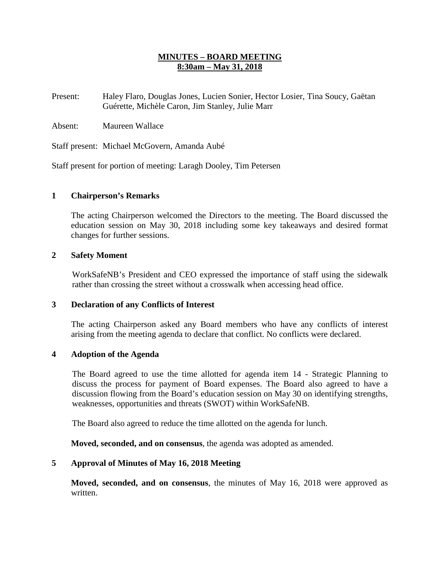## **MINUTES – BOARD MEETING 8:30am – May 31, 2018**

- Present: Haley Flaro, Douglas Jones, Lucien Sonier, Hector Losier, Tina Soucy, Gaëtan Guérette, Michèle Caron, Jim Stanley, Julie Marr
- Absent: Maureen Wallace

Staff present: Michael McGovern, Amanda Aubé

Staff present for portion of meeting: Laragh Dooley, Tim Petersen

## **1 Chairperson's Remarks**

The acting Chairperson welcomed the Directors to the meeting. The Board discussed the education session on May 30, 2018 including some key takeaways and desired format changes for further sessions.

### **2 Safety Moment**

WorkSafeNB's President and CEO expressed the importance of staff using the sidewalk rather than crossing the street without a crosswalk when accessing head office.

### **3 Declaration of any Conflicts of Interest**

The acting Chairperson asked any Board members who have any conflicts of interest arising from the meeting agenda to declare that conflict. No conflicts were declared.

### **4 Adoption of the Agenda**

The Board agreed to use the time allotted for agenda item 14 - Strategic Planning to discuss the process for payment of Board expenses. The Board also agreed to have a discussion flowing from the Board's education session on May 30 on identifying strengths, weaknesses, opportunities and threats (SWOT) within WorkSafeNB.

The Board also agreed to reduce the time allotted on the agenda for lunch.

**Moved, seconded, and on consensus**, the agenda was adopted as amended.

## **5 Approval of Minutes of May 16, 2018 Meeting**

**Moved, seconded, and on consensus**, the minutes of May 16, 2018 were approved as written.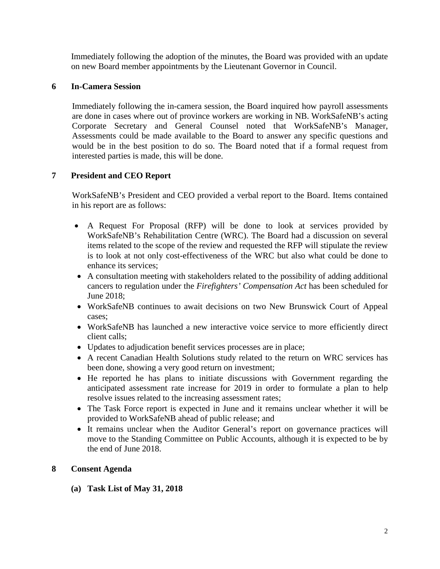Immediately following the adoption of the minutes, the Board was provided with an update on new Board member appointments by the Lieutenant Governor in Council.

## **6 In-Camera Session**

Immediately following the in-camera session, the Board inquired how payroll assessments are done in cases where out of province workers are working in NB. WorkSafeNB's acting Corporate Secretary and General Counsel noted that WorkSafeNB's Manager, Assessments could be made available to the Board to answer any specific questions and would be in the best position to do so. The Board noted that if a formal request from interested parties is made, this will be done.

## **7 President and CEO Report**

WorkSafeNB's President and CEO provided a verbal report to the Board. Items contained in his report are as follows:

- A Request For Proposal (RFP) will be done to look at services provided by WorkSafeNB's Rehabilitation Centre (WRC). The Board had a discussion on several items related to the scope of the review and requested the RFP will stipulate the review is to look at not only cost-effectiveness of the WRC but also what could be done to enhance its services;
- A consultation meeting with stakeholders related to the possibility of adding additional cancers to regulation under the *Firefighters' Compensation Act* has been scheduled for June 2018;
- WorkSafeNB continues to await decisions on two New Brunswick Court of Appeal cases;
- WorkSafeNB has launched a new interactive voice service to more efficiently direct client calls;
- Updates to adjudication benefit services processes are in place;
- A recent Canadian Health Solutions study related to the return on WRC services has been done, showing a very good return on investment;
- He reported he has plans to initiate discussions with Government regarding the anticipated assessment rate increase for 2019 in order to formulate a plan to help resolve issues related to the increasing assessment rates;
- The Task Force report is expected in June and it remains unclear whether it will be provided to WorkSafeNB ahead of public release; and
- It remains unclear when the Auditor General's report on governance practices will move to the Standing Committee on Public Accounts, although it is expected to be by the end of June 2018.

## **8 Consent Agenda**

**(a) Task List of May 31, 2018**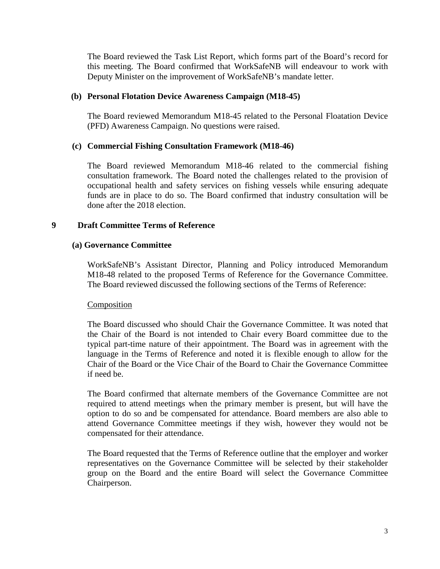The Board reviewed the Task List Report, which forms part of the Board's record for this meeting. The Board confirmed that WorkSafeNB will endeavour to work with Deputy Minister on the improvement of WorkSafeNB's mandate letter.

### **(b) Personal Flotation Device Awareness Campaign (M18-45)**

The Board reviewed Memorandum M18-45 related to the Personal Floatation Device (PFD) Awareness Campaign. No questions were raised.

## **(c) Commercial Fishing Consultation Framework (M18-46)**

The Board reviewed Memorandum M18-46 related to the commercial fishing consultation framework. The Board noted the challenges related to the provision of occupational health and safety services on fishing vessels while ensuring adequate funds are in place to do so. The Board confirmed that industry consultation will be done after the 2018 election.

## **9 Draft Committee Terms of Reference**

## **(a) Governance Committee**

WorkSafeNB's Assistant Director, Planning and Policy introduced Memorandum M18-48 related to the proposed Terms of Reference for the Governance Committee. The Board reviewed discussed the following sections of the Terms of Reference:

### Composition

The Board discussed who should Chair the Governance Committee. It was noted that the Chair of the Board is not intended to Chair every Board committee due to the typical part-time nature of their appointment. The Board was in agreement with the language in the Terms of Reference and noted it is flexible enough to allow for the Chair of the Board or the Vice Chair of the Board to Chair the Governance Committee if need be.

The Board confirmed that alternate members of the Governance Committee are not required to attend meetings when the primary member is present, but will have the option to do so and be compensated for attendance. Board members are also able to attend Governance Committee meetings if they wish, however they would not be compensated for their attendance.

The Board requested that the Terms of Reference outline that the employer and worker representatives on the Governance Committee will be selected by their stakeholder group on the Board and the entire Board will select the Governance Committee Chairperson.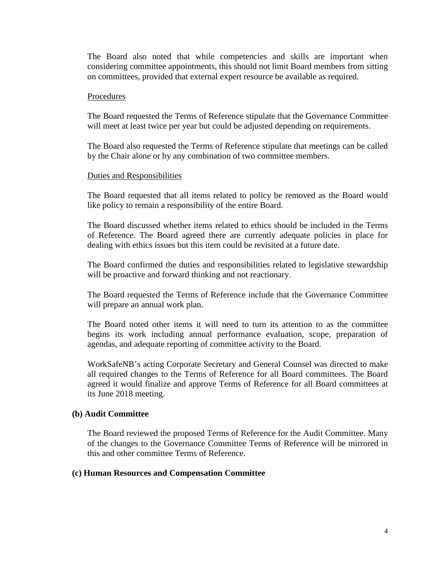The Board also noted that while competencies and skills are important when considering committee appointments, this should not limit Board members from sitting on committees, provided that external expert resource be available as required.

#### Procedures

The Board requested the Terms of Reference stipulate that the Governance Committee will meet at least twice per year but could be adjusted depending on requirements.

The Board also requested the Terms of Reference stipulate that meetings can be called by the Chair alone or by any combination of two committee members.

### Duties and Responsibilities

The Board requested that all items related to policy be removed as the Board would like policy to remain a responsibility of the entire Board.

The Board discussed whether items related to ethics should be included in the Terms of Reference. The Board agreed there are currently adequate policies in place for dealing with ethics issues but this item could be revisited at a future date.

The Board confirmed the duties and responsibilities related to legislative stewardship will be proactive and forward thinking and not reactionary.

The Board requested the Terms of Reference include that the Governance Committee will prepare an annual work plan.

The Board noted other items it will need to turn its attention to as the committee begins its work including annual performance evaluation, scope, preparation of agendas, and adequate reporting of committee activity to the Board.

WorkSafeNB's acting Corporate Secretary and General Counsel was directed to make all required changes to the Terms of Reference for all Board committees. The Board agreed it would finalize and approve Terms of Reference for all Board committees at its June 2018 meeting.

### **(b) Audit Committee**

The Board reviewed the proposed Terms of Reference for the Audit Committee. Many of the changes to the Governance Committee Terms of Reference will be mirrored in this and other committee Terms of Reference.

#### **(c) Human Resources and Compensation Committee**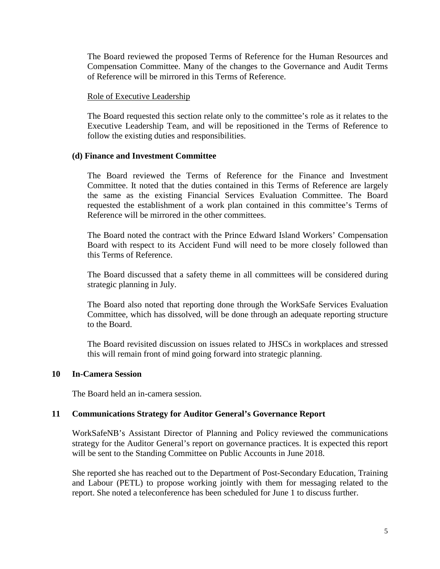The Board reviewed the proposed Terms of Reference for the Human Resources and Compensation Committee. Many of the changes to the Governance and Audit Terms of Reference will be mirrored in this Terms of Reference.

### Role of Executive Leadership

The Board requested this section relate only to the committee's role as it relates to the Executive Leadership Team, and will be repositioned in the Terms of Reference to follow the existing duties and responsibilities.

## **(d) Finance and Investment Committee**

The Board reviewed the Terms of Reference for the Finance and Investment Committee. It noted that the duties contained in this Terms of Reference are largely the same as the existing Financial Services Evaluation Committee. The Board requested the establishment of a work plan contained in this committee's Terms of Reference will be mirrored in the other committees.

The Board noted the contract with the Prince Edward Island Workers' Compensation Board with respect to its Accident Fund will need to be more closely followed than this Terms of Reference.

The Board discussed that a safety theme in all committees will be considered during strategic planning in July.

The Board also noted that reporting done through the WorkSafe Services Evaluation Committee, which has dissolved, will be done through an adequate reporting structure to the Board.

The Board revisited discussion on issues related to JHSCs in workplaces and stressed this will remain front of mind going forward into strategic planning.

### **10 In-Camera Session**

The Board held an in-camera session.

## **11 Communications Strategy for Auditor General's Governance Report**

WorkSafeNB's Assistant Director of Planning and Policy reviewed the communications strategy for the Auditor General's report on governance practices. It is expected this report will be sent to the Standing Committee on Public Accounts in June 2018.

She reported she has reached out to the Department of Post-Secondary Education, Training and Labour (PETL) to propose working jointly with them for messaging related to the report. She noted a teleconference has been scheduled for June 1 to discuss further.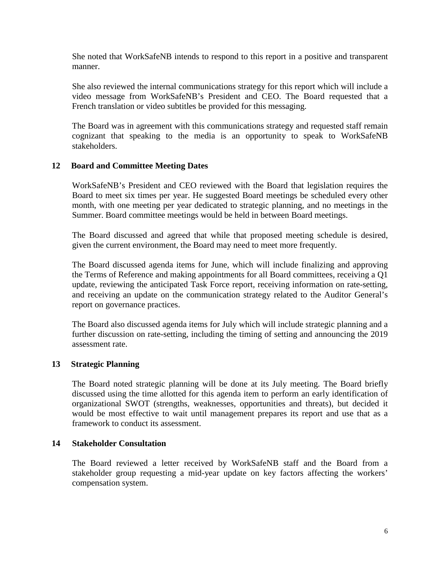She noted that WorkSafeNB intends to respond to this report in a positive and transparent manner.

She also reviewed the internal communications strategy for this report which will include a video message from WorkSafeNB's President and CEO. The Board requested that a French translation or video subtitles be provided for this messaging.

The Board was in agreement with this communications strategy and requested staff remain cognizant that speaking to the media is an opportunity to speak to WorkSafeNB stakeholders.

## **12 Board and Committee Meeting Dates**

WorkSafeNB's President and CEO reviewed with the Board that legislation requires the Board to meet six times per year. He suggested Board meetings be scheduled every other month, with one meeting per year dedicated to strategic planning, and no meetings in the Summer. Board committee meetings would be held in between Board meetings.

The Board discussed and agreed that while that proposed meeting schedule is desired, given the current environment, the Board may need to meet more frequently.

The Board discussed agenda items for June, which will include finalizing and approving the Terms of Reference and making appointments for all Board committees, receiving a Q1 update, reviewing the anticipated Task Force report, receiving information on rate-setting, and receiving an update on the communication strategy related to the Auditor General's report on governance practices.

The Board also discussed agenda items for July which will include strategic planning and a further discussion on rate-setting, including the timing of setting and announcing the 2019 assessment rate.

### **13 Strategic Planning**

The Board noted strategic planning will be done at its July meeting. The Board briefly discussed using the time allotted for this agenda item to perform an early identification of organizational SWOT (strengths, weaknesses, opportunities and threats), but decided it would be most effective to wait until management prepares its report and use that as a framework to conduct its assessment.

### **14 Stakeholder Consultation**

The Board reviewed a letter received by WorkSafeNB staff and the Board from a stakeholder group requesting a mid-year update on key factors affecting the workers' compensation system.